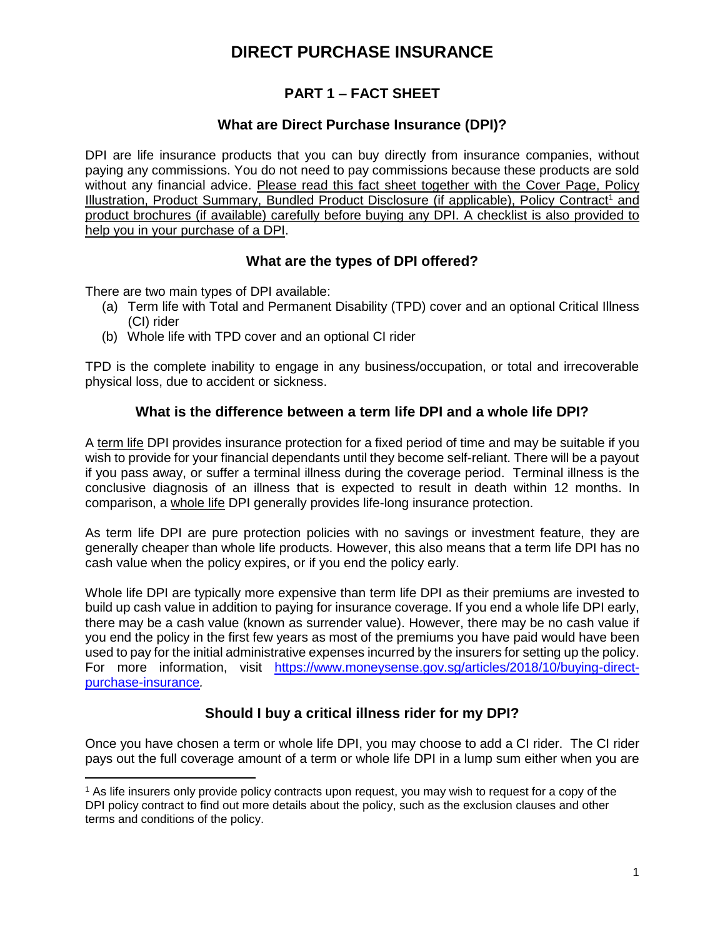## **PART 1 – FACT SHEET**

## **What are Direct Purchase Insurance (DPI)?**

DPI are life insurance products that you can buy directly from insurance companies, without paying any commissions. You do not need to pay commissions because these products are sold without any financial advice. Please read this fact sheet together with the Cover Page, Policy Illustration, Product Summary, Bundled Product Disclosure (if applicable), Policy Contract<sup>1</sup> and product brochures (if available) carefully before buying any DPI. A checklist is also provided to help you in your purchase of a DPI.

## **What are the types of DPI offered?**

There are two main types of DPI available:

 $\overline{a}$ 

- (a) Term life with Total and Permanent Disability (TPD) cover and an optional Critical Illness (CI) rider
- (b) Whole life with TPD cover and an optional CI rider

TPD is the complete inability to engage in any business/occupation, or total and irrecoverable physical loss, due to accident or sickness.

## **What is the difference between a term life DPI and a whole life DPI?**

A term life DPI provides insurance protection for a fixed period of time and may be suitable if you wish to provide for your financial dependants until they become self-reliant. There will be a payout if you pass away, or suffer a terminal illness during the coverage period. Terminal illness is the conclusive diagnosis of an illness that is expected to result in death within 12 months. In comparison, a whole life DPI generally provides life-long insurance protection.

As term life DPI are pure protection policies with no savings or investment feature, they are generally cheaper than whole life products. However, this also means that a term life DPI has no cash value when the policy expires, or if you end the policy early.

Whole life DPI are typically more expensive than term life DPI as their premiums are invested to build up cash value in addition to paying for insurance coverage. If you end a whole life DPI early, there may be a cash value (known as surrender value). However, there may be no cash value if you end the policy in the first few years as most of the premiums you have paid would have been used to pay for the initial administrative expenses incurred by the insurers for setting up the policy. For more information, visit https://www.moneysense.gov.sg/articles/2018/10/buying-directpurchase-insurance*.*

## **Should I buy a critical illness rider for my DPI?**

Once you have chosen a term or whole life DPI, you may choose to add a CI rider. The CI rider pays out the full coverage amount of a term or whole life DPI in a lump sum either when you are

<sup>1</sup> As life insurers only provide policy contracts upon request, you may wish to request for a copy of the DPI policy contract to find out more details about the policy, such as the exclusion clauses and other terms and conditions of the policy.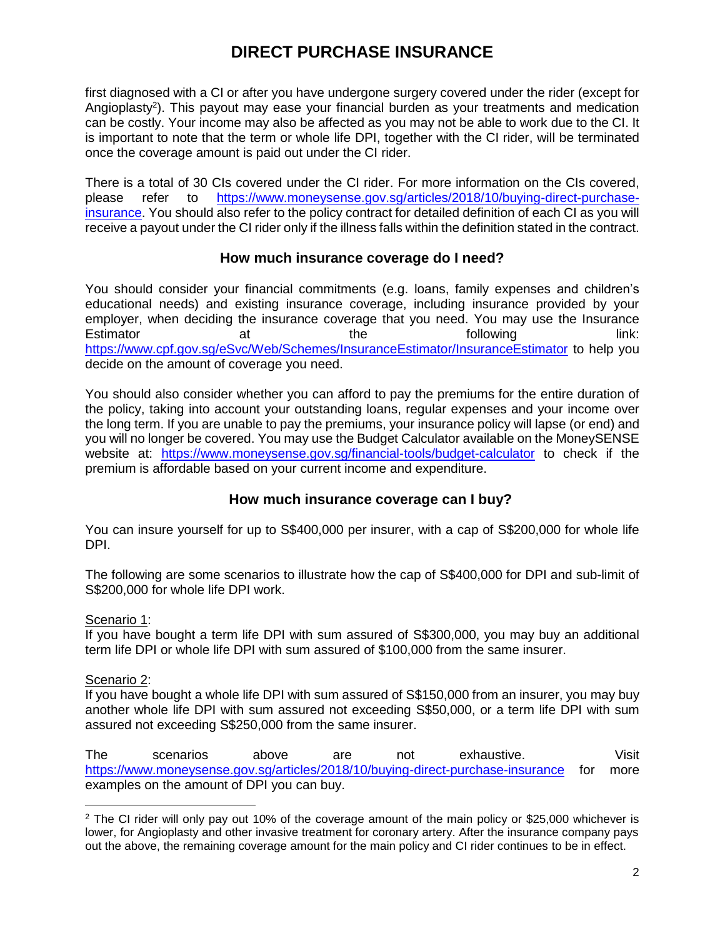first diagnosed with a CI or after you have undergone surgery covered under the rider (except for Angioplasty<sup>2</sup>). This payout may ease your financial burden as your treatments and medication can be costly. Your income may also be affected as you may not be able to work due to the CI. It is important to note that the term or whole life DPI, together with the CI rider, will be terminated once the coverage amount is paid out under the CI rider.

There is a total of 30 CIs covered under the CI rider. For more information on the CIs covered, please refer to https://www.moneysense.gov.sg/articles/2018/10/buying-direct-purchaseinsurance. You should also refer to the policy contract for detailed definition of each CI as you will receive a payout under the CI rider only if the illness falls within the definition stated in the contract.

### **How much insurance coverage do I need?**

You should consider your financial commitments (e.g. loans, family expenses and children's educational needs) and existing insurance coverage, including insurance provided by your employer, when deciding the insurance coverage that you need. You may use the Insurance Estimator at at the following link: <https://www.cpf.gov.sg/eSvc/Web/Schemes/InsuranceEstimator/InsuranceEstimator> to help you decide on the amount of coverage you need.

You should also consider whether you can afford to pay the premiums for the entire duration of the policy, taking into account your outstanding loans, regular expenses and your income over the long term. If you are unable to pay the premiums, your insurance policy will lapse (or end) and you will no longer be covered. You may use the Budget Calculator available on the MoneySENSE website at: https://www.moneysense.gov.sg/financial-tools/budget-calculator to check if the premium is affordable based on your current income and expenditure.

## **How much insurance coverage can I buy?**

You can insure yourself for up to S\$400,000 per insurer, with a cap of S\$200,000 for whole life DPI.

The following are some scenarios to illustrate how the cap of S\$400,000 for DPI and sub-limit of S\$200,000 for whole life DPI work.

#### Scenario 1:

If you have bought a term life DPI with sum assured of S\$300,000, you may buy an additional term life DPI or whole life DPI with sum assured of \$100,000 from the same insurer.

#### Scenario 2:

 $\overline{a}$ 

If you have bought a whole life DPI with sum assured of S\$150,000 from an insurer, you may buy another whole life DPI with sum assured not exceeding S\$50,000, or a term life DPI with sum assured not exceeding S\$250,000 from the same insurer.

The scenarios above are not exhaustive. Visit <https://www.moneysense.gov.sg/articles/2018/10/buying-direct-purchase-insurance> for more examples on the amount of DPI you can buy.

<sup>&</sup>lt;sup>2</sup> The CI rider will only pay out 10% of the coverage amount of the main policy or \$25,000 whichever is lower, for Angioplasty and other invasive treatment for coronary artery. After the insurance company pays out the above, the remaining coverage amount for the main policy and CI rider continues to be in effect.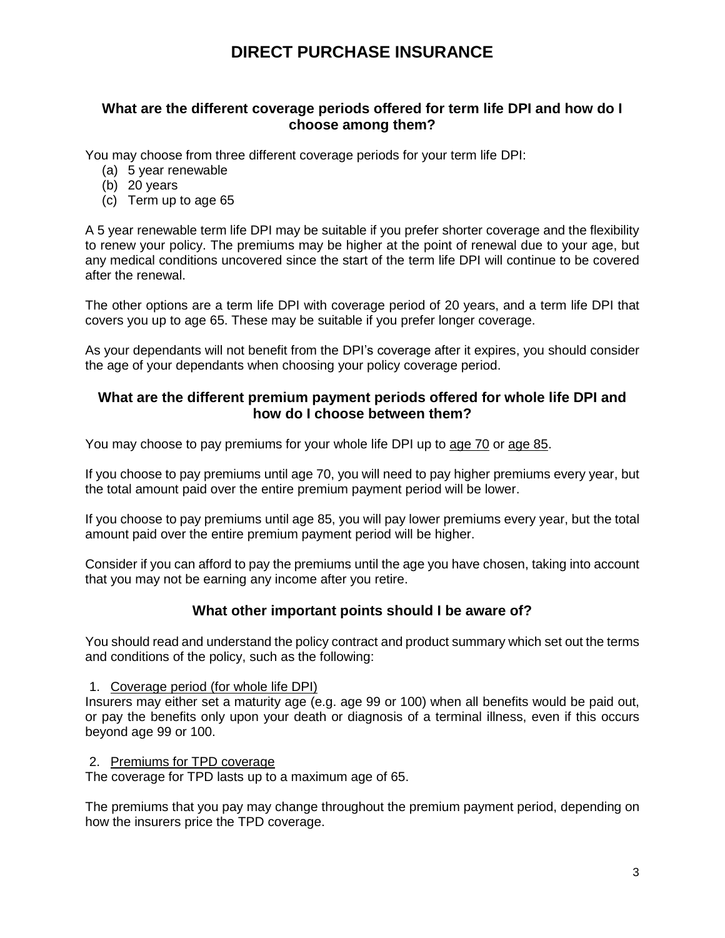### **What are the different coverage periods offered for term life DPI and how do I choose among them?**

You may choose from three different coverage periods for your term life DPI:

- (a) 5 year renewable
- (b) 20 years
- (c) Term up to age 65

A 5 year renewable term life DPI may be suitable if you prefer shorter coverage and the flexibility to renew your policy. The premiums may be higher at the point of renewal due to your age, but any medical conditions uncovered since the start of the term life DPI will continue to be covered after the renewal.

The other options are a term life DPI with coverage period of 20 years, and a term life DPI that covers you up to age 65. These may be suitable if you prefer longer coverage.

As your dependants will not benefit from the DPI's coverage after it expires, you should consider the age of your dependants when choosing your policy coverage period.

### **What are the different premium payment periods offered for whole life DPI and how do I choose between them?**

You may choose to pay premiums for your whole life DPI up to age 70 or age 85.

If you choose to pay premiums until age 70, you will need to pay higher premiums every year, but the total amount paid over the entire premium payment period will be lower.

If you choose to pay premiums until age 85, you will pay lower premiums every year, but the total amount paid over the entire premium payment period will be higher.

Consider if you can afford to pay the premiums until the age you have chosen, taking into account that you may not be earning any income after you retire.

## **What other important points should I be aware of?**

You should read and understand the policy contract and product summary which set out the terms and conditions of the policy, such as the following:

#### 1. Coverage period (for whole life DPI)

Insurers may either set a maturity age (e.g. age 99 or 100) when all benefits would be paid out, or pay the benefits only upon your death or diagnosis of a terminal illness, even if this occurs beyond age 99 or 100.

### 2. Premiums for TPD coverage

The coverage for TPD lasts up to a maximum age of 65.

The premiums that you pay may change throughout the premium payment period, depending on how the insurers price the TPD coverage.